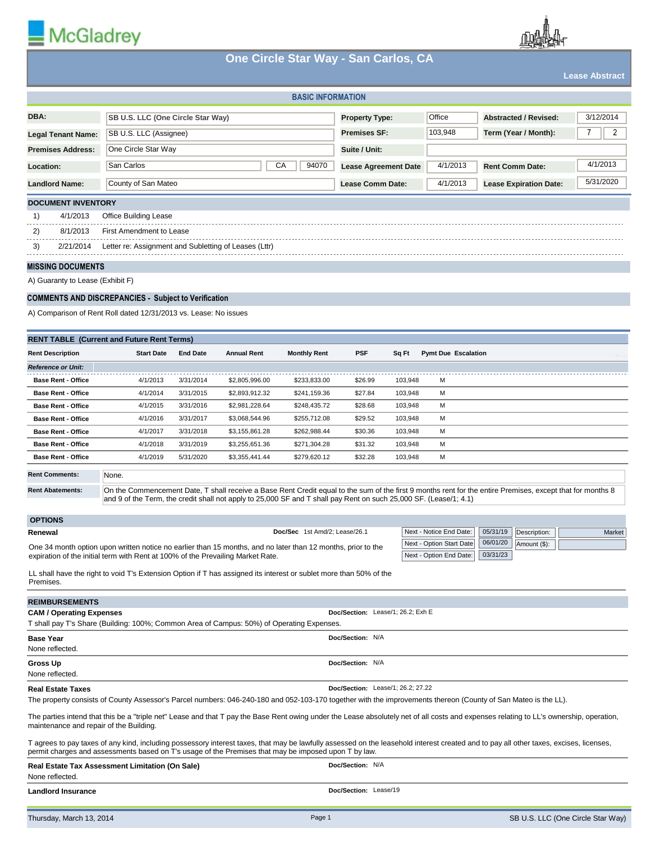

## **One Circle Star Way - San Carlos, CA**

|                                                                                                                                                                                                                                                                                                            |                                                                                                                    |                        |                                  | $\sim$ 0.1010 0.141 1.141 0.411 0.411.00; 0.11 |                                                                   |                    |                            |                      |                               | <b>Lease Abstract</b> |           |
|------------------------------------------------------------------------------------------------------------------------------------------------------------------------------------------------------------------------------------------------------------------------------------------------------------|--------------------------------------------------------------------------------------------------------------------|------------------------|----------------------------------|------------------------------------------------|-------------------------------------------------------------------|--------------------|----------------------------|----------------------|-------------------------------|-----------------------|-----------|
| <b>BASIC INFORMATION</b>                                                                                                                                                                                                                                                                                   |                                                                                                                    |                        |                                  |                                                |                                                                   |                    |                            |                      |                               |                       |           |
| DBA:                                                                                                                                                                                                                                                                                                       | SB U.S. LLC (One Circle Star Way)                                                                                  |                        |                                  |                                                | <b>Property Type:</b>                                             |                    | Office                     |                      | <b>Abstracted / Revised:</b>  |                       | 3/12/2014 |
| <b>Legal Tenant Name:</b>                                                                                                                                                                                                                                                                                  | SB U.S. LLC (Assignee)                                                                                             |                        |                                  | <b>Premises SF:</b>                            |                                                                   | 103,948            |                            | Term (Year / Month): | 7                             | 2                     |           |
| <b>Premises Address:</b>                                                                                                                                                                                                                                                                                   | One Circle Star Way                                                                                                |                        |                                  |                                                | Suite / Unit:                                                     |                    |                            |                      |                               |                       |           |
| Location:                                                                                                                                                                                                                                                                                                  | San Carlos<br>СA<br>94070                                                                                          |                        |                                  |                                                | 4/1/2013<br><b>Rent Comm Date:</b><br><b>Lease Agreement Date</b> |                    |                            |                      | 4/1/2013                      |                       |           |
| <b>Landlord Name:</b>                                                                                                                                                                                                                                                                                      |                                                                                                                    |                        |                                  |                                                |                                                                   |                    | 4/1/2013                   |                      | <b>Lease Expiration Date:</b> |                       | 5/31/2020 |
|                                                                                                                                                                                                                                                                                                            | County of San Mateo<br>Lease Comm Date:                                                                            |                        |                                  |                                                |                                                                   |                    |                            |                      |                               |                       |           |
| <b>DOCUMENT INVENTORY</b>                                                                                                                                                                                                                                                                                  |                                                                                                                    |                        |                                  |                                                |                                                                   |                    |                            |                      |                               |                       |           |
| 4/1/2013<br>1)<br>Office Building Lease                                                                                                                                                                                                                                                                    |                                                                                                                    |                        |                                  |                                                |                                                                   |                    |                            |                      |                               |                       |           |
| 8/1/2013<br>2)                                                                                                                                                                                                                                                                                             | First Amendment to Lease                                                                                           |                        |                                  |                                                |                                                                   |                    |                            |                      |                               |                       |           |
| 3)<br>2/21/2014                                                                                                                                                                                                                                                                                            | Letter re: Assignment and Subletting of Leases (Lttr)                                                              |                        |                                  |                                                |                                                                   |                    |                            |                      |                               |                       |           |
| <b>MISSING DOCUMENTS</b>                                                                                                                                                                                                                                                                                   |                                                                                                                    |                        |                                  |                                                |                                                                   |                    |                            |                      |                               |                       |           |
| A) Guaranty to Lease (Exhibit F)                                                                                                                                                                                                                                                                           |                                                                                                                    |                        |                                  |                                                |                                                                   |                    |                            |                      |                               |                       |           |
| <b>COMMENTS AND DISCREPANCIES - Subject to Verification</b>                                                                                                                                                                                                                                                |                                                                                                                    |                        |                                  |                                                |                                                                   |                    |                            |                      |                               |                       |           |
|                                                                                                                                                                                                                                                                                                            | A) Comparison of Rent Roll dated 12/31/2013 vs. Lease: No issues                                                   |                        |                                  |                                                |                                                                   |                    |                            |                      |                               |                       |           |
| <b>RENT TABLE (Current and Future Rent Terms)</b>                                                                                                                                                                                                                                                          |                                                                                                                    |                        |                                  |                                                |                                                                   |                    |                            |                      |                               |                       |           |
| <b>Rent Description</b>                                                                                                                                                                                                                                                                                    | <b>Start Date</b>                                                                                                  | <b>End Date</b>        | <b>Annual Rent</b>               | <b>Monthly Rent</b>                            | <b>PSF</b>                                                        | Sq Ft              | <b>Pymt Due Escalation</b> |                      |                               |                       |           |
| <b>Reference or Unit:</b>                                                                                                                                                                                                                                                                                  |                                                                                                                    |                        |                                  |                                                |                                                                   |                    |                            |                      |                               |                       |           |
| <b>Base Rent - Office</b>                                                                                                                                                                                                                                                                                  | 4/1/2013                                                                                                           | 3/31/2014              | \$2,805,996.00                   | \$233,833.00                                   | \$26.99                                                           | 103,948            | м                          |                      |                               |                       |           |
| <b>Base Rent - Office</b>                                                                                                                                                                                                                                                                                  | 4/1/2014                                                                                                           | 3/31/2015              | \$2,893,912.32                   | \$241,159.36                                   | \$27.84                                                           | 103,948            | м                          |                      |                               |                       |           |
| <b>Base Rent - Office</b>                                                                                                                                                                                                                                                                                  | 4/1/2015                                                                                                           | 3/31/2016              | \$2,981,228.64                   | \$248,435.72                                   | \$28.68                                                           | 103,948            | м                          |                      |                               |                       |           |
| <b>Base Rent - Office</b>                                                                                                                                                                                                                                                                                  | 4/1/2016                                                                                                           | 3/31/2017              | \$3,068,544.96                   | \$255,712.08                                   | \$29.52                                                           | 103,948            | м                          |                      |                               |                       |           |
| <b>Base Rent - Office</b>                                                                                                                                                                                                                                                                                  | 4/1/2017                                                                                                           | 3/31/2018              | \$3,155,861.28                   | \$262,988.44                                   | \$30.36                                                           | 103,948            | м                          |                      |                               |                       |           |
| <b>Base Rent - Office</b><br><b>Base Rent - Office</b>                                                                                                                                                                                                                                                     | 4/1/2018<br>4/1/2019                                                                                               | 3/31/2019<br>5/31/2020 | \$3,255,651.36<br>\$3,355,441.44 | \$271,304.28<br>\$279,620.12                   | \$31.32<br>\$32.28                                                | 103,948<br>103,948 | м<br>м                     |                      |                               |                       |           |
|                                                                                                                                                                                                                                                                                                            |                                                                                                                    |                        |                                  |                                                |                                                                   |                    |                            |                      |                               |                       |           |
| <b>Rent Comments:</b>                                                                                                                                                                                                                                                                                      | None.                                                                                                              |                        |                                  |                                                |                                                                   |                    |                            |                      |                               |                       |           |
| <b>Rent Abatements:</b><br>On the Commencement Date, T shall receive a Base Rent Credit equal to the sum of the first 9 months rent for the entire Premises, except that for months 8<br>and 9 of the Term, the credit shall not apply to 25,000 SF and T shall pay Rent on such 25,000 SF. (Lease/1; 4.1) |                                                                                                                    |                        |                                  |                                                |                                                                   |                    |                            |                      |                               |                       |           |
| <b>OPTIONS</b>                                                                                                                                                                                                                                                                                             |                                                                                                                    |                        |                                  |                                                |                                                                   |                    |                            |                      |                               |                       |           |
| Renewal                                                                                                                                                                                                                                                                                                    |                                                                                                                    |                        |                                  | Doc/Sec 1st Amd/2; Lease/26.1                  |                                                                   |                    | Next - Notice End Date:    | 05/31/19             | Description:                  |                       | Market    |
| 06/01/20<br>Next - Option Start Date<br>Amount (\$):<br>One 34 month option upon written notice no earlier than 15 months, and no later than 12 months, prior to the<br>03/31/23<br>Next - Option End Date:<br>expiration of the initial term with Rent at 100% of the Prevailing Market Rate.             |                                                                                                                    |                        |                                  |                                                |                                                                   |                    |                            |                      |                               |                       |           |
| Premises.                                                                                                                                                                                                                                                                                                  | LL shall have the right to void T's Extension Option if T has assigned its interest or sublet more than 50% of the |                        |                                  |                                                |                                                                   |                    |                            |                      |                               |                       |           |
| <b>REIMBURSEMENTS</b>                                                                                                                                                                                                                                                                                      |                                                                                                                    |                        |                                  |                                                |                                                                   |                    |                            |                      |                               |                       |           |
| <b>CAM / Operating Expenses</b>                                                                                                                                                                                                                                                                            |                                                                                                                    |                        |                                  |                                                | Doc/Section: Lease/1; 26.2; Exh E                                 |                    |                            |                      |                               |                       |           |
| T shall pay T's Share (Building: 100%; Common Area of Campus: 50%) of Operating Expenses.<br>Doc/Section: N/A<br><b>Base Year</b>                                                                                                                                                                          |                                                                                                                    |                        |                                  |                                                |                                                                   |                    |                            |                      |                               |                       |           |
| None reflected.                                                                                                                                                                                                                                                                                            |                                                                                                                    |                        |                                  |                                                |                                                                   |                    |                            |                      |                               |                       |           |
| <b>Gross Up</b><br>None reflected.                                                                                                                                                                                                                                                                         |                                                                                                                    |                        |                                  |                                                | Doc/Section: N/A                                                  |                    |                            |                      |                               |                       |           |

## **Real Estate Taxes**

The property consists of County Assessor's Parcel numbers: 046-240-180 and 052-103-170 together with the improvements thereon (County of San Mateo is the LL).

The parties intend that this be a "triple net" Lease and that T pay the Base Rent owing under the Lease absolutely net of all costs and expenses relating to LL's ownership, operation, maintenance and repair of the Building.

**Doc/Section:** Lease/1; 26.2; 27.22

T agrees to pay taxes of any kind, including possessory interest taxes, that may be lawfully assessed on the leasehold interest created and to pay all other taxes, excises, licenses, permit charges and assessments based on T's usage of the Premises that may be imposed upon T by law.

| Real Estate Tax Assessment Limitation (On Sale) | Doc/Section: N/A      |
|-------------------------------------------------|-----------------------|
| None reflected.                                 |                       |
| <b>Landlord Insurance</b>                       | Doc/Section: Lease/19 |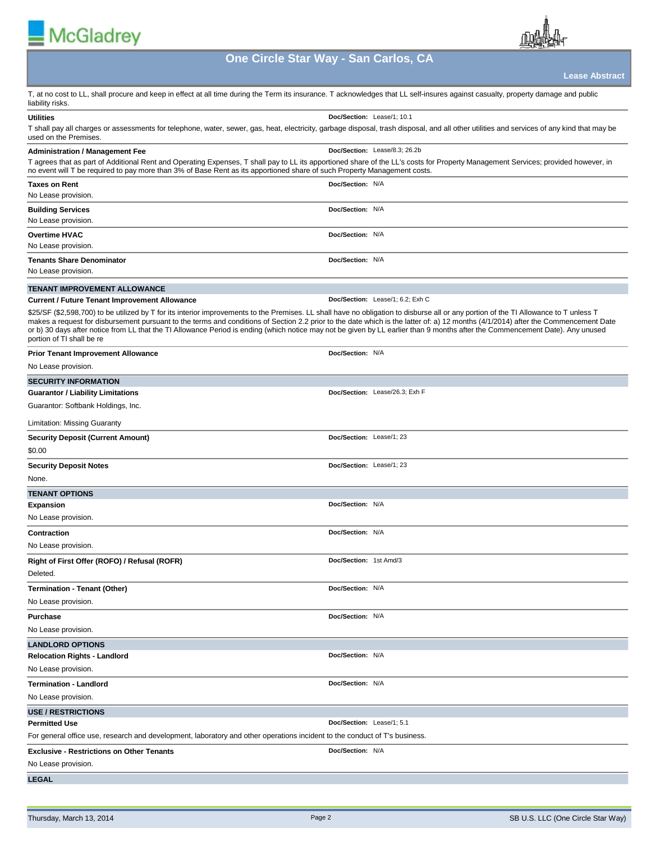| McGladrey                                                                                                                                                                                                                                                                                                                                                                                                                                                                                                                                                                                 |                                  |                       |
|-------------------------------------------------------------------------------------------------------------------------------------------------------------------------------------------------------------------------------------------------------------------------------------------------------------------------------------------------------------------------------------------------------------------------------------------------------------------------------------------------------------------------------------------------------------------------------------------|----------------------------------|-----------------------|
| One Circle Star Way - San Carlos, CA                                                                                                                                                                                                                                                                                                                                                                                                                                                                                                                                                      |                                  |                       |
|                                                                                                                                                                                                                                                                                                                                                                                                                                                                                                                                                                                           |                                  | <b>Lease Abstract</b> |
| T, at no cost to LL, shall procure and keep in effect at all time during the Term its insurance. T acknowledges that LL self-insures against casualty, property damage and public<br>liability risks.                                                                                                                                                                                                                                                                                                                                                                                     |                                  |                       |
| <b>Utilities</b><br>T shall pay all charges or assessments for telephone, water, sewer, gas, heat, electricity, garbage disposal, trash disposal, and all other utilities and services of any kind that may be<br>used on the Premises.                                                                                                                                                                                                                                                                                                                                                   | Doc/Section: Lease/1; 10.1       |                       |
| <b>Administration / Management Fee</b><br>T agrees that as part of Additional Rent and Operating Expenses, T shall pay to LL its apportioned share of the LL's costs for Property Management Services; provided however, in<br>no event will T be required to pay more than 3% of Base Rent as its apportioned share of such Property Management costs.                                                                                                                                                                                                                                   | Doc/Section: Lease/8.3; 26.2b    |                       |
| Taxes on Rent<br>No Lease provision.                                                                                                                                                                                                                                                                                                                                                                                                                                                                                                                                                      | Doc/Section: N/A                 |                       |
| <b>Building Services</b><br>No Lease provision.                                                                                                                                                                                                                                                                                                                                                                                                                                                                                                                                           | Doc/Section: N/A                 |                       |
| <b>Overtime HVAC</b><br>No Lease provision.                                                                                                                                                                                                                                                                                                                                                                                                                                                                                                                                               | Doc/Section: N/A                 |                       |
| <b>Tenants Share Denominator</b><br>No Lease provision.                                                                                                                                                                                                                                                                                                                                                                                                                                                                                                                                   | Doc/Section: N/A                 |                       |
| <b>TENANT IMPROVEMENT ALLOWANCE</b>                                                                                                                                                                                                                                                                                                                                                                                                                                                                                                                                                       |                                  |                       |
| <b>Current / Future Tenant Improvement Allowance</b>                                                                                                                                                                                                                                                                                                                                                                                                                                                                                                                                      | Doc/Section: Lease/1; 6.2; Exh C |                       |
| \$25/SF (\$2,598,700) to be utilized by T for its interior improvements to the Premises. LL shall have no obligation to disburse all or any portion of the TI Allowance to T unless T<br>makes a request for disbursement pursuant to the terms and conditions of Section 2.2 prior to the date which is the latter of: a) 12 months (4/1/2014) after the Commencement Date<br>or b) 30 days after notice from LL that the TI Allowance Period is ending (which notice may not be given by LL earlier than 9 months after the Commencement Date). Any unused<br>portion of TI shall be re |                                  |                       |
| <b>Prior Tenant Improvement Allowance</b><br>No Lease provision.                                                                                                                                                                                                                                                                                                                                                                                                                                                                                                                          | Doc/Section: N/A                 |                       |
| <b>SECURITY INFORMATION</b>                                                                                                                                                                                                                                                                                                                                                                                                                                                                                                                                                               |                                  |                       |
| <b>Guarantor / Liability Limitations</b>                                                                                                                                                                                                                                                                                                                                                                                                                                                                                                                                                  | Doc/Section: Lease/26.3; Exh F   |                       |
| Guarantor: Softbank Holdings, Inc.                                                                                                                                                                                                                                                                                                                                                                                                                                                                                                                                                        |                                  |                       |
| Limitation: Missing Guaranty                                                                                                                                                                                                                                                                                                                                                                                                                                                                                                                                                              |                                  |                       |
| <b>Security Deposit (Current Amount)</b><br>\$0.00                                                                                                                                                                                                                                                                                                                                                                                                                                                                                                                                        | Doc/Section: Lease/1; 23         |                       |
| <b>Security Deposit Notes</b>                                                                                                                                                                                                                                                                                                                                                                                                                                                                                                                                                             | Doc/Section: Lease/1; 23         |                       |
| None.                                                                                                                                                                                                                                                                                                                                                                                                                                                                                                                                                                                     |                                  |                       |
| <b>TENANT OPTIONS</b>                                                                                                                                                                                                                                                                                                                                                                                                                                                                                                                                                                     |                                  |                       |
| Expansion                                                                                                                                                                                                                                                                                                                                                                                                                                                                                                                                                                                 | Doc/Section: N/A                 |                       |
| No Lease provision.                                                                                                                                                                                                                                                                                                                                                                                                                                                                                                                                                                       |                                  |                       |
| Contraction<br>No Lease provision.                                                                                                                                                                                                                                                                                                                                                                                                                                                                                                                                                        | Doc/Section: N/A                 |                       |
|                                                                                                                                                                                                                                                                                                                                                                                                                                                                                                                                                                                           | Doc/Section: 1st Amd/3           |                       |
| Right of First Offer (ROFO) / Refusal (ROFR)<br>Deleted.                                                                                                                                                                                                                                                                                                                                                                                                                                                                                                                                  |                                  |                       |
| Termination - Tenant (Other)                                                                                                                                                                                                                                                                                                                                                                                                                                                                                                                                                              | Doc/Section: N/A                 |                       |
| No Lease provision.                                                                                                                                                                                                                                                                                                                                                                                                                                                                                                                                                                       |                                  |                       |
| Purchase                                                                                                                                                                                                                                                                                                                                                                                                                                                                                                                                                                                  | Doc/Section: N/A                 |                       |
| No Lease provision.                                                                                                                                                                                                                                                                                                                                                                                                                                                                                                                                                                       |                                  |                       |
| <b>LANDLORD OPTIONS</b>                                                                                                                                                                                                                                                                                                                                                                                                                                                                                                                                                                   |                                  |                       |
| <b>Relocation Rights - Landlord</b>                                                                                                                                                                                                                                                                                                                                                                                                                                                                                                                                                       | Doc/Section: N/A                 |                       |
| No Lease provision.                                                                                                                                                                                                                                                                                                                                                                                                                                                                                                                                                                       |                                  |                       |
| Termination - Landlord<br>No Lease provision.                                                                                                                                                                                                                                                                                                                                                                                                                                                                                                                                             | Doc/Section: N/A                 |                       |
| <b>USE / RESTRICTIONS</b>                                                                                                                                                                                                                                                                                                                                                                                                                                                                                                                                                                 |                                  |                       |
| Permitted Use                                                                                                                                                                                                                                                                                                                                                                                                                                                                                                                                                                             | Doc/Section: Lease/1; 5.1        |                       |
| For general office use, research and development, laboratory and other operations incident to the conduct of T's business.                                                                                                                                                                                                                                                                                                                                                                                                                                                                |                                  |                       |
| Exclusive - Restrictions on Other Tenants                                                                                                                                                                                                                                                                                                                                                                                                                                                                                                                                                 | Doc/Section: N/A                 |                       |

No Lease provision.

**LEGAL**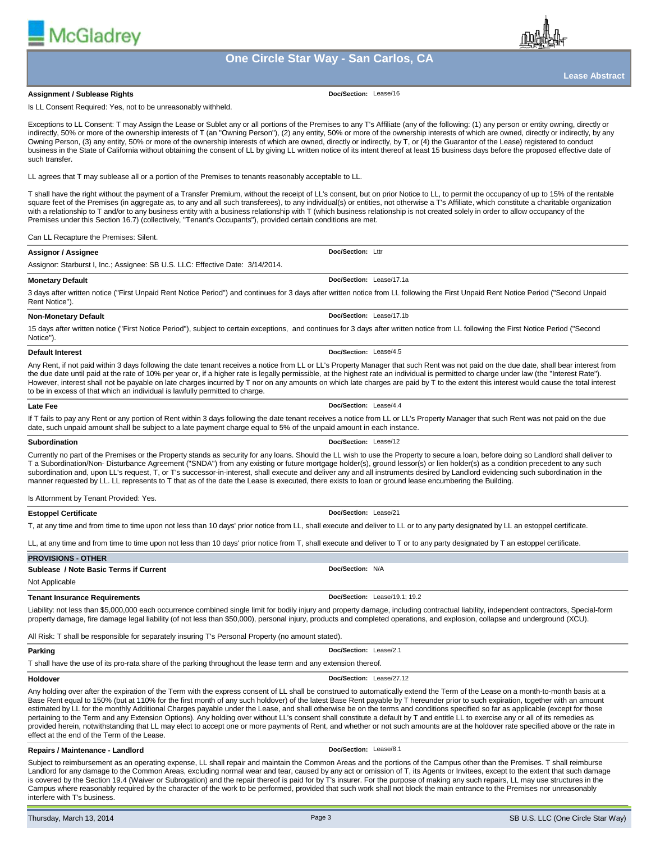

#### **Assignment / Sublease Rights**

**McGladrev** 

**Doc/Section:** Lease/16

Is LL Consent Required: Yes, not to be unreasonably withheld.

Exceptions to LL Consent: T may Assign the Lease or Sublet any or all portions of the Premises to any T's Affiliate (any of the following: (1) any person or entity owning, directly or indirectly, 50% or more of the ownership interests of T (an "Owning Person"), (2) any entity, 50% or more of the ownership interests of which are owned, directly or indirectly, by any Cwning Person, (3) any entity, 50% or more of the ownership interests of which are owned, directly or indirectly, by T, or (4) the Guarantor of the Lease) registered to conduct business in the State of California without obtaining the consent of LL by giving LL written notice of its intent thereof at least 15 business days before the proposed effective date of such transfer.

LL agrees that T may sublease all or a portion of the Premises to tenants reasonably acceptable to LL.

T shall have the right without the payment of a Transfer Premium, without the receipt of LL's consent, but on prior Notice to LL, to permit the occupancy of up to 15% of the rentable square feet of the Premises (in aggregate as, to any and all such transferees), to any individual(s) or entities, not otherwise a T's Affiliate, which constitute a charitable organization with a relationship to T and/or to any business entity with a business relationship with T (which business relationship is not created solely in order to allow occupancy of the Premises under this Section 16.7) (collectively, "Tenant's Occupants"), provided certain conditions are met.

## Can LL Recapture the Premises: Silent.

| Assignor / Assignee                                                                                                                                                               | Doc/Section: Lttr        |  |  |  |
|-----------------------------------------------------------------------------------------------------------------------------------------------------------------------------------|--------------------------|--|--|--|
| Assignor: Starburst I, Inc.; Assignee: SB U.S. LLC: Effective Date: 3/14/2014.                                                                                                    |                          |  |  |  |
| Monetary Default                                                                                                                                                                  | Doc/Section: Lease/17.1a |  |  |  |
| Agus after written notice ("First Unnaid Rent Notice Period") and continues for 3 days after written notice from U. following the First Unnaid Rent Notice Period ("Second Unnaid |                          |  |  |  |

3 days after written notice ("First Unpaid Rent Notice Period") and continues for 3 days after written notice from LL following the First Unpaid Rent Notice Period ("Second Unpaid Rent Notice").

#### **Non-Monetary Default**

15 days after written notice ("First Notice Period"), subject to certain exceptions, and continues for 3 days after written notice from LL following the First Notice Period ("Second Notice").

#### **Default Interest**

Any Rent, if not paid within 3 days following the date tenant receives a notice from LL or LL's Property Manager that such Rent was not paid on the due date, shall bear interest from the due date until paid at the rate of 10% per year or, if a higher rate is legally permissible, at the highest rate an individual is permitted to charge under law (the "Interest Rate"). However, interest shall not be payable on late charges incurred by T nor on any amounts on which late charges are paid by T to the extent this interest would cause the total interest to be in excess of that which an individual is lawfully permitted to charge.

## **Late Fee**

If T fails to pay any Rent or any portion of Rent within 3 days following the date tenant receives a notice from LL or LL's Property Manager that such Rent was not paid on the due date, such unpaid amount shall be subject to a late payment charge equal to 5% of the unpaid amount in each instance.

#### **Subordination**

**Doc/Section:** Lease/12

**Doc/Section:** Lease/21

**Doc/Section:** Lease/4.4

**Doc/Section:** Lease/17.1b

**Doc/Section:** Lease/4.5

Currently no part of the Premises or the Property stands as security for any loans. Should the LL wish to use the Property to secure a loan, before doing so Landlord shall deliver to T a Subordination/Non- Disturbance Agreement ("SNDA") from any existing or future mortgage holder(s), ground lessor(s) or lien holder(s) as a condition precedent to any such subordination and, upon LL's request, T, or T's successor-in-interest, shall execute and deliver any and all instruments desired by Landlord evidencing such subordination in the manner requested by LL. LL represents to T that as of the date the Lease is executed, there exists to loan or ground lease encumbering the Building.

Is Attornment by Tenant Provided: Yes.

#### **Estoppel Certificate**

T, at any time and from time to time upon not less than 10 days' prior notice from LL, shall execute and deliver to LL or to any party designated by LL an estoppel certificate.

property damage, fire damage legal liability (of not less than \$50,000), personal injury, products and completed operations, and explosion, collapse and underground (XCU).

LL, at any time and from time to time upon not less than 10 days' prior notice from T, shall execute and deliver to T or to any party designated by T an estoppel certificate.

#### **PROVISIONS - OTHER Sublease / Note Basic Terms if Current** Not Applicable **Doc/Section:** N/A **Tenant Insurance Requirements** Liability: not less than \$5,000,000 each occurrence combined single limit for bodily injury and property damage, including contractual liability, independent contractors, Special-form **Doc/Section:** Lease/19.1; 19.2

All Risk: T shall be responsible for separately insuring T's Personal Property (no amount stated).

### **Parking** T shall have the use of its pro-rata share of the parking throughout the lease term and any extension thereof. **Doc/Section:** Lease/2.1

### **Holdover**

Any holding over after the expiration of the Term with the express consent of LL shall be construed to automatically extend the Term of the Lease on a month-to-month basis at a Base Rent equal to 150% (but at 110% for the first month of any such holdover) of the latest Base Rent payable by T hereunder prior to such expiration, together with an amount estimated by LL for the monthly Additional Charges payable under the Lease, and shall otherwise be on the terms and conditions specified so far as applicable (except for those pertaining to the Term and any Extension Options). Any holding over without LL's consent shall constitute a default by T and entitle LL to exercise any or all of its remedies as provided herein, notwithstanding that LL may elect to accept one or more payments of Rent, and whether or not such amounts are at the holdover rate specified above or the rate in effect at the end of the Term of the Lease.

#### **Repairs / Maintenance - Landlord**

**Doc/Section:** Lease/8.1

**Doc/Section:** Lease/27.12

Subject to reimbursement as an operating expense, LL shall repair and maintain the Common Areas and the portions of the Campus other than the Premises. T shall reimburse Landlord for any damage to the Common Areas, excluding normal wear and tear, caused by any act or omission of T, its Agents or Invitees, except to the extent that such damage is covered by the Section 19.4 (Waiver or Subrogation) and the repair thereof is paid for by T's insurer. For the purpose of making any such repairs, LL may use structures in the Campus where reasonably required by the character of the work to be performed, provided that such work shall not block the main entrance to the Premises nor unreasonably interfere with T's business.